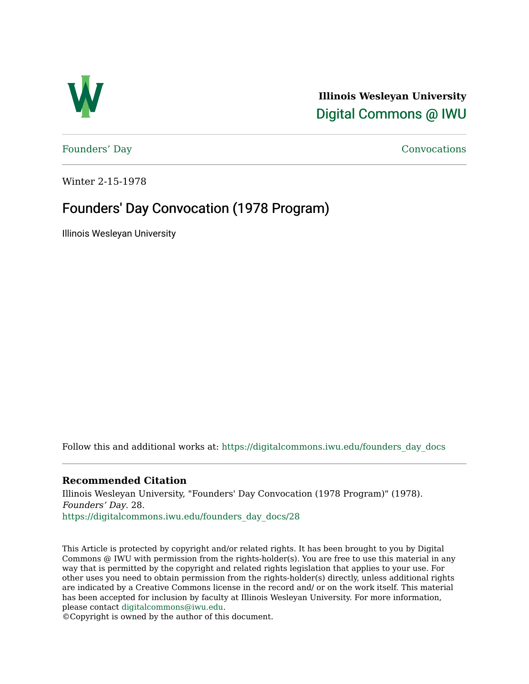

**Illinois Wesleyan University**  [Digital Commons @ IWU](https://digitalcommons.iwu.edu/) 

[Founders' Day](https://digitalcommons.iwu.edu/founders_day_docs) [Convocations](https://digitalcommons.iwu.edu/convocations_docs) 

Winter 2-15-1978

## Founders' Day Convocation (1978 Program)

Illinois Wesleyan University

Follow this and additional works at: [https://digitalcommons.iwu.edu/founders\\_day\\_docs](https://digitalcommons.iwu.edu/founders_day_docs?utm_source=digitalcommons.iwu.edu%2Ffounders_day_docs%2F28&utm_medium=PDF&utm_campaign=PDFCoverPages) 

## **Recommended Citation**

Illinois Wesleyan University, "Founders' Day Convocation (1978 Program)" (1978). Founders' Day. 28. [https://digitalcommons.iwu.edu/founders\\_day\\_docs/28](https://digitalcommons.iwu.edu/founders_day_docs/28?utm_source=digitalcommons.iwu.edu%2Ffounders_day_docs%2F28&utm_medium=PDF&utm_campaign=PDFCoverPages)

This Article is protected by copyright and/or related rights. It has been brought to you by Digital Commons @ IWU with permission from the rights-holder(s). You are free to use this material in any way that is permitted by the copyright and related rights legislation that applies to your use. For other uses you need to obtain permission from the rights-holder(s) directly, unless additional rights are indicated by a Creative Commons license in the record and/ or on the work itself. This material has been accepted for inclusion by faculty at Illinois Wesleyan University. For more information, please contact [digitalcommons@iwu.edu.](mailto:digitalcommons@iwu.edu)

©Copyright is owned by the author of this document.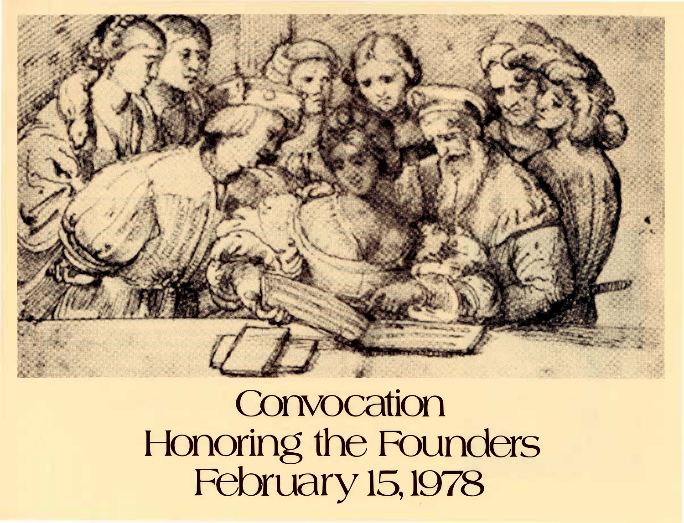

**Convocation** Honoring the Founders February 15, 1978